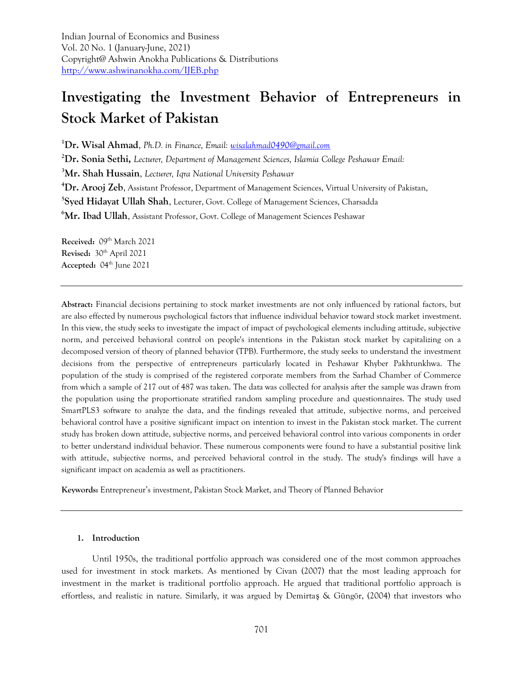Indian Journal of Economics and Business Vol. 20 No. 1 (January-June, 2021) Copyright@ Ashwin Anokha Publications & Distributions <http://www.ashwinanokha.com/IJEB.php>

# **Investigating the Investment Behavior of Entrepreneurs in Stock Market of Pakistan**

**<sup>1</sup>Dr. Wisal Ahmad**, *Ph.D. in Finance, Email: [wisalahmad0490@gmail.com](mailto:wisalahmad0490@gmail.com)*

**<sup>2</sup>Dr. Sonia Sethi,** *Lecturer, Department of Management Sciences, Islamia College Peshawar Email:* 

**<sup>3</sup>Mr. Shah Hussain**, *Lecturer, Iqra National University Peshawar* 

**<sup>4</sup>Dr. Arooj Zeb**, Assistant Professor, Department of Management Sciences, Virtual University of Pakistan,

**5 Syed Hidayat Ullah Shah**, Lecturer, Govt. College of Management Sciences, Charsadda

<sup>6</sup>Mr. Ibad Ullah, Assistant Professor, Govt. College of Management Sciences Peshawar

Received: 09<sup>th</sup> March 2021 Revised:  $30<sup>th</sup>$  April 2021 Accepted: 04<sup>th</sup> June 2021

**Abstract:** Financial decisions pertaining to stock market investments are not only influenced by rational factors, but are also effected by numerous psychological factors that influence individual behavior toward stock market investment. In this view, the study seeks to investigate the impact of impact of psychological elements including attitude, subjective norm, and perceived behavioral control on people's intentions in the Pakistan stock market by capitalizing on a decomposed version of theory of planned behavior (TPB). Furthermore, the study seeks to understand the investment decisions from the perspective of entrepreneurs particularly located in Peshawar Khyber Pakhtunkhwa. The population of the study is comprised of the registered corporate members from the Sarhad Chamber of Commerce from which a sample of 217 out of 487 was taken. The data was collected for analysis after the sample was drawn from the population using the proportionate stratified random sampling procedure and questionnaires. The study used SmartPLS3 software to analyze the data, and the findings revealed that attitude, subjective norms, and perceived behavioral control have a positive significant impact on intention to invest in the Pakistan stock market. The current study has broken down attitude, subjective norms, and perceived behavioral control into various components in order to better understand individual behavior. These numerous components were found to have a substantial positive link with attitude, subjective norms, and perceived behavioral control in the study. The study's findings will have a significant impact on academia as well as practitioners.

**Keywords:** Entrepreneur's investment, Pakistan Stock Market, and Theory of Planned Behavior

#### **1. Introduction**

Until 1950s, the traditional portfolio approach was considered one of the most common approaches used for investment in stock markets. As mentioned by Civan (2007) that the most leading approach for investment in the market is traditional portfolio approach. He argued that traditional portfolio approach is effortless, and realistic in nature. Similarly, it was argued by Demirtaş & Güngör, (2004) that investors who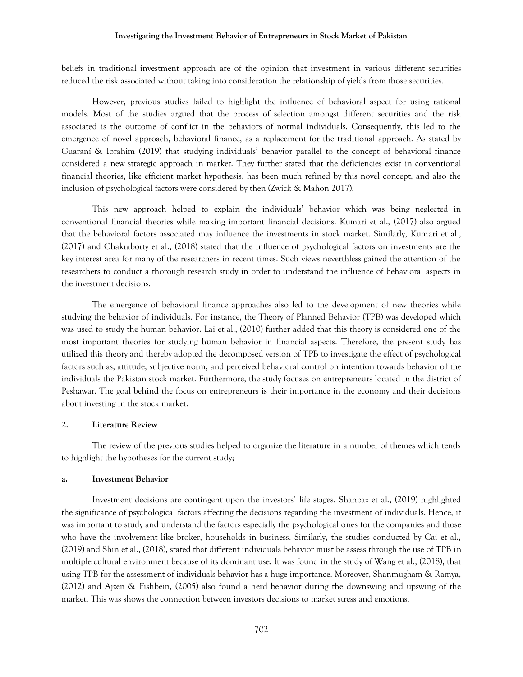#### **Investigating the Investment Behavior of Entrepreneurs in Stock Market of Pakistan**

beliefs in traditional investment approach are of the opinion that investment in various different securities reduced the risk associated without taking into consideration the relationship of yields from those securities.

However, previous studies failed to highlight the influence of behavioral aspect for using rational models. Most of the studies argued that the process of selection amongst different securities and the risk associated is the outcome of conflict in the behaviors of normal individuals. Consequently, this led to the emergence of novel approach, behavioral finance, as a replacement for the traditional approach. As stated by Guaraní & Ibrahim (2019) that studying individuals' behavior parallel to the concept of behavioral finance considered a new strategic approach in market. They further stated that the deficiencies exist in conventional financial theories, like efficient market hypothesis, has been much refined by this novel concept, and also the inclusion of psychological factors were considered by then (Zwick & Mahon 2017).

This new approach helped to explain the individuals' behavior which was being neglected in conventional financial theories while making important financial decisions. Kumari et al., (2017) also argued that the behavioral factors associated may influence the investments in stock market. Similarly, Kumari et al., (2017) and Chakraborty et al., (2018) stated that the influence of psychological factors on investments are the key interest area for many of the researchers in recent times. Such views neverthless gained the attention of the researchers to conduct a thorough research study in order to understand the influence of behavioral aspects in the investment decisions.

The emergence of behavioral finance approaches also led to the development of new theories while studying the behavior of individuals. For instance, the Theory of Planned Behavior (TPB) was developed which was used to study the human behavior. Lai et al., (2010) further added that this theory is considered one of the most important theories for studying human behavior in financial aspects. Therefore, the present study has utilized this theory and thereby adopted the decomposed version of TPB to investigate the effect of psychological factors such as, attitude, subjective norm, and perceived behavioral control on intention towards behavior of the individuals the Pakistan stock market. Furthermore, the study focuses on entrepreneurs located in the district of Peshawar. The goal behind the focus on entrepreneurs is their importance in the economy and their decisions about investing in the stock market.

#### **2. Literature Review**

The review of the previous studies helped to organize the literature in a number of themes which tends to highlight the hypotheses for the current study;

#### **a. Investment Behavior**

Investment decisions are contingent upon the investors' life stages. Shahbaz et al., (2019) highlighted the significance of psychological factors affecting the decisions regarding the investment of individuals. Hence, it was important to study and understand the factors especially the psychological ones for the companies and those who have the involvement like broker, households in business. Similarly, the studies conducted by Cai et al., (2019) and Shin et al., (2018), stated that different individuals behavior must be assess through the use of TPB in multiple cultural environment because of its dominant use. It was found in the study of Wang et al., (2018), that using TPB for the assessment of individuals behavior has a huge importance. Moreover, Shanmugham & Ramya, (2012) and Ajzen & Fishbein, (2005) also found a herd behavior during the downswing and upswing of the market. This was shows the connection between investors decisions to market stress and emotions.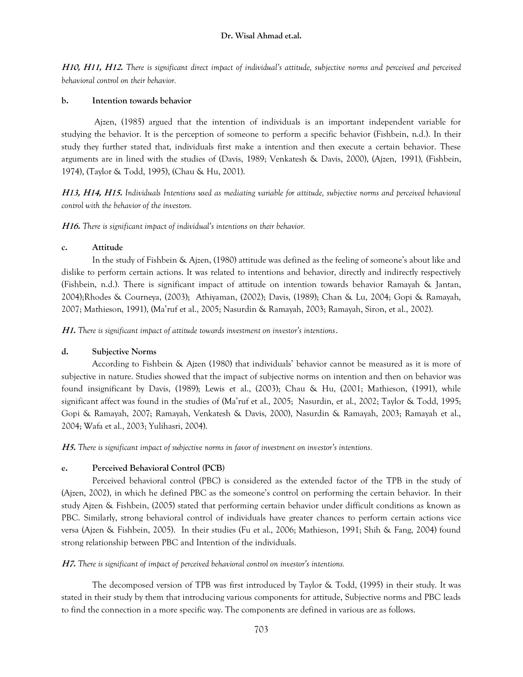**H10, H11, H12.** *There is significant direct impact of individual's attitude, subjective norms and perceived and perceived behavioral control on their behavior.*

## **b. Intention towards behavior**

Ajzen, (1985) argued that the intention of individuals is an important independent variable for studying the behavior. It is the perception of someone to perform a specific behavior (Fishbein, n.d.). In their study they further stated that, individuals first make a intention and then execute a certain behavior. These arguments are in lined with the studies of (Davis, 1989; Venkatesh & Davis, 2000), (Ajzen, 1991), (Fishbein, 1974), (Taylor & Todd, 1995), (Chau & Hu, 2001).

**H13, H14, H15.** *Individuals Intentions used as mediating variable for attitude, subjective norms and perceived behavioral control with the behavior of the investors.* 

**H16.** *There is significant impact of individual's intentions on their behavior.* 

# **c. Attitude**

In the study of Fishbein & Ajzen, (1980) attitude was defined as the feeling of someone's about like and dislike to perform certain actions. It was related to intentions and behavior, directly and indirectly respectively (Fishbein, n.d.). There is significant impact of attitude on intention towards behavior Ramayah & Jantan, 2004);Rhodes & Courneya, (2003); Athiyaman, (2002); Davis, (1989); Chan & Lu, 2004; Gopi & Ramayah, 2007; Mathieson, 1991), (Ma'ruf et al., 2005; Nasurdin & Ramayah, 2003; Ramayah, Siron, et al., 2002).

**H1.** *There is significant impact of attitude towards investment on investor's intentions*.

# **d. Subjective Norms**

According to Fishbein & Ajzen (1980) that individuals' behavior cannot be measured as it is more of subjective in nature. Studies showed that the impact of subjective norms on intention and then on behavior was found insignificant by Davis, (1989); Lewis et al., (2003); Chau & Hu, (2001; Mathieson, (1991), while significant affect was found in the studies of (Ma'ruf et al., 2005; Nasurdin, et al., 2002; Taylor & Todd, 1995; Gopi & Ramayah, 2007; Ramayah, Venkatesh & Davis, 2000), Nasurdin & Ramayah, 2003; Ramayah et al., 2004; Wafa et al., 2003; Yulihasri, 2004).

**H5.** *There is significant impact of subjective norms in favor of investment on investor's intentions.*

# **e. Perceived Behavioral Control (PCB)**

Perceived behavioral control (PBC) is considered as the extended factor of the TPB in the study of (Ajzen, 2002), in which he defined PBC as the someone's control on performing the certain behavior. In their study Ajzen & Fishbein, (2005) stated that performing certain behavior under difficult conditions as known as PBC. Similarly, strong behavioral control of individuals have greater chances to perform certain actions vice versa (Ajzen & Fishbein, 2005). In their studies (Fu et al., 2006; Mathieson, 1991; Shih & Fang, 2004) found strong relationship between PBC and Intention of the individuals.

# **H7.** *There is significant of impact of perceived behavioral control on investor's intentions.*

The decomposed version of TPB was first introduced by Taylor & Todd, (1995) in their study. It was stated in their study by them that introducing various components for attitude, Subjective norms and PBC leads to find the connection in a more specific way. The components are defined in various are as follows.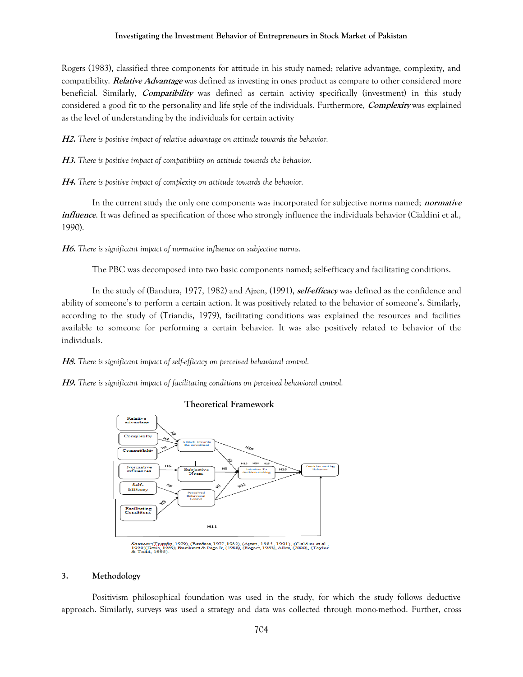## **Investigating the Investment Behavior of Entrepreneurs in Stock Market of Pakistan**

Rogers (1983), classified three components for attitude in his study named; relative advantage, complexity, and compatibility. **Relative Advantage** was defined as investing in ones product as compare to other considered more beneficial. Similarly, **Compatibility** was defined as certain activity specifically (investment) in this study considered a good fit to the personality and life style of the individuals. Furthermore, **Complexity** was explained as the level of understanding by the individuals for certain activity

**H2.** *There is positive impact of relative advantage on attitude towards the behavior.*

**H3.** *There is positive impact of compatibility on attitude towards the behavior.*

**H4.** *There is positive impact of complexity on attitude towards the behavior.*

In the current study the only one components was incorporated for subjective norms named; **normative**  *influence*. It was defined as specification of those who strongly influence the individuals behavior (Cialdini et al., 1990).

**H6.** *There is significant impact of normative influence on subjective norms.* 

The PBC was decomposed into two basic components named; self-efficacy and facilitating conditions.

In the study of (Bandura, 1977, 1982) and Ajzen, (1991), **self-efficacy** was defined as the confidence and ability of someone's to perform a certain action. It was positively related to the behavior of someone's. Similarly, according to the study of (Triandis, 1979), facilitating conditions was explained the resources and facilities available to someone for performing a certain behavior. It was also positively related to behavior of the individuals.

**H8.** *There is significant impact of self-efficacy on perceived behavioral control.* 

**H9.** *There is significant impact of facilitating conditions on perceived behavioral control.*



#### ra, 1977, 1982), (Ajzen, 1985, 1991), (Cialdini et al.,<br>Page Jr, (1988), (Rogers, 1983), Allen, (2000), (Taylor

#### **3. Methodology**

Positivism philosophical foundation was used in the study, for which the study follows deductive approach. Similarly, surveys was used a strategy and data was collected through mono-method. Further, cross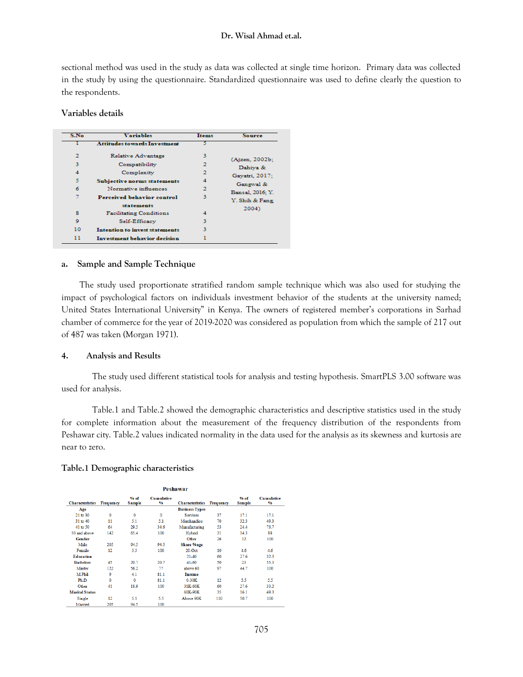## **Dr. Wisal Ahmad et.al.**

sectional method was used in the study as data was collected at single time horizon. Primary data was collected in the study by using the questionnaire. Standardized questionnaire was used to define clearly the question to the respondents.

#### **Variables details**

| S.No | <b>Variables</b>                    | Items | <b>Source</b>    |
|------|-------------------------------------|-------|------------------|
|      | <b>Attitudes towards Investment</b> |       |                  |
| 2    | Relative Advantage                  | 3     | (Ajzen, 2002b;   |
| 3    | Compatibility                       |       | Dahiya &         |
| 4    | Complexity                          | 2     | Gayatri, 2017;   |
| 5    | Subjective norms statements         | 4     | Gangwal &        |
| 6    | Normative influences                | 2     | Bansal, 2016; Y. |
| 7    | Perceived behavior control          | ٩     | Y. Shih & Fang   |
|      | statements                          |       | 2004)            |
| 8    | <b>Facilitating Conditions</b>      | 4     |                  |
| 9    | Self-Efficacy                       | ٩     |                  |
| 10   | Intention to invest statements      | ٩     |                  |
| 11   | <b>Investment behavior decision</b> |       |                  |

#### **a. Sample and Sample Technique**

The study used proportionate stratified random sample technique which was also used for studying the impact of psychological factors on individuals investment behavior of the students at the university named; United States International University" in Kenya. The owners of registered member's corporations in Sarhad chamber of commerce for the year of 2019-2020 was considered as population from which the sample of 217 out of 487 was taken (Morgan 1971).

#### **4. Analysis and Results**

The study used different statistical tools for analysis and testing hypothesis. SmartPLS 3.00 software was used for analysis.

Table.1 and Table.2 showed the demographic characteristics and descriptive statistics used in the study for complete information about the measurement of the frequency distribution of the respondents from Peshawar city. Table.2 values indicated normality in the data used for the analysis as its skewness and kurtosis are near to zero.

#### **Table.1 Demographic characteristics**

| <b>Peshawar</b>        |           |                       |                                    |                        |           |                         |                                    |  |  |
|------------------------|-----------|-----------------------|------------------------------------|------------------------|-----------|-------------------------|------------------------------------|--|--|
| <b>Characteristics</b> | Frequency | % of<br><b>Sample</b> | <b>Cumulative</b><br>$\frac{9}{6}$ | <b>Characteristics</b> | Frequency | $%$ of<br><b>Sample</b> | <b>Cumulative</b><br>$\frac{9}{6}$ |  |  |
| Age                    |           |                       |                                    | <b>Business Types</b>  |           |                         |                                    |  |  |
| 21 to 30               | o         | $\mathbf{0}$          | 0                                  | <b>Services</b>        | 37        | 17.1                    | 17.1                               |  |  |
| 31 to 40               | 11        | 5.1                   | 5.1                                | Merchandise            | 70        | 32.3                    | 49.3                               |  |  |
| 41 to 50               | 64        | 29.5                  | 34.6                               | Manufacturing          | 53        | 24.4                    | 73.7                               |  |  |
| 50 and above           | 142       | 65.4                  | 100                                | Hybrid<br>31           |           | 14.3                    | 88                                 |  |  |
| Gender                 |           |                       |                                    | Other                  | 26        | 12                      | 100                                |  |  |
| Male                   | 205       | 94.5                  | 94.5                               | <b>Share %age</b>      |           |                         |                                    |  |  |
| Female                 | 12        | 5.5                   | 100                                | $20-Oct$               | 10        | 4.6                     | 4.6                                |  |  |
| <b>Education</b>       |           |                       |                                    | 21-40                  | 60        | 27.6                    | 32.3                               |  |  |
| <b>Bachelors</b>       | 45        | 20.7                  | 20.7                               | $41 - 60$              | 50        | 23                      | 55.3                               |  |  |
| Master                 | 122       | 56.2                  | 77                                 | above 60               | 97        | 44.7                    | 100                                |  |  |
| M.Phil                 | ٥         | 4.1                   | 81.1                               | <b>Income</b>          |           |                         |                                    |  |  |
| Ph.D                   | Ō         | 0                     | 81.1                               | $0-30K$                | 12        | 5.5                     | 5.5                                |  |  |
| Other                  | 41        | 18.9                  | 100                                | 31K-60K                | 60        | 27.6                    | 33.2                               |  |  |
| <b>Marital Status</b>  |           |                       |                                    | 61K-90K                | 35        | 16.1                    | 49.3                               |  |  |
| Single                 | 12.       | 5.5                   | 5.5                                | Above 90K              | 110       | 50.7                    | 100                                |  |  |
| Married                | 205       | 94.5                  | 100                                |                        |           |                         |                                    |  |  |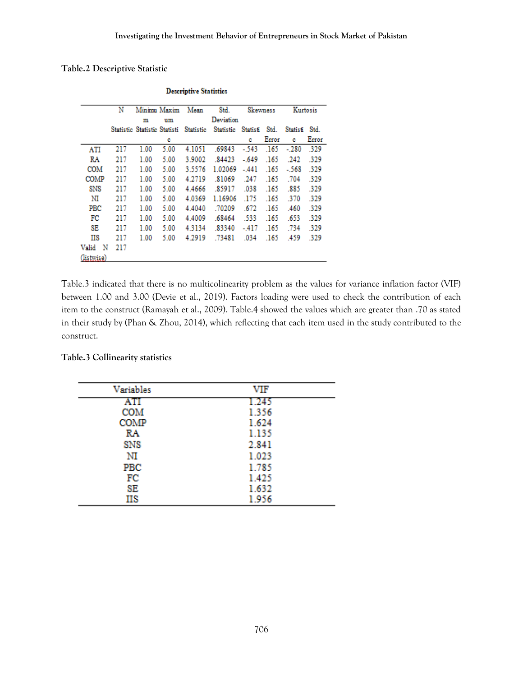## **Table.2 Descriptive Statistic**

|            | Ν   |                              | Minimu Maxim | Mean      | Std.             |          | Skewness |          | Kurtosis |
|------------|-----|------------------------------|--------------|-----------|------------------|----------|----------|----------|----------|
|            |     | m                            | um           |           | Deviation        |          |          |          |          |
|            |     | Statistic Statistic Statisti |              | Statistic | <b>Statistic</b> | Statisti | Std.     | Statisti | Std.     |
|            |     |                              | c            |           |                  | c        | Error    | c        | Error    |
| ATI        | 217 | 1.00                         | 5.00         | 4.1051    | .69843           | $-543$   | .165     | $-.280$  | .329     |
| RA         | 217 | 1.00                         | 5.00         | 3.9002    | .84423           | $-.649$  | .165     | .242     | .329     |
| COM        | 217 | 1.00                         | 5.00         | 3.5576    | 1.02069          | $-441$   | .165     | $-568$   | -329     |
| COMP       | 217 | 1.00                         | 5.00         | 4.2719    | .81069           | .247     | .165     | .704     | .329     |
| SNS        | 217 | 1.00                         | 5.00         | 4.4666    | .85917           | .038     | .165     | .885     | .329     |
| NI         | 217 | 1.00                         | 5.00         | 4.0369    | 1.16906          | .175     | .165     | .370     | .329     |
| PBC        | 217 | 1.00                         | 5.00         | 4.4040    | .70209           | .672     | .165     | .460     | .329     |
| FC         | 217 | 1.00                         | 5.00         | 4.4009    | .68464           | .533     | .165     | .653     | .329     |
| SE         | 217 | 1.00                         | 5.00         | 4.3134    | .83340           | -.417    | .165     | .734     | .329     |
| ΠS         | 217 | 1.00                         | 5.00         | 4.2919    | .73481           | .034     | .165     | .459     | .329     |
| Valid<br>N | 217 |                              |              |           |                  |          |          |          |          |
| (listwise) |     |                              |              |           |                  |          |          |          |          |

**Descriptive Statistics** 

Table.3 indicated that there is no multicolinearity problem as the values for variance inflation factor (VIF) between 1.00 and 3.00 (Devie et al., 2019). Factors loading were used to check the contribution of each item to the construct (Ramayah et al., 2009). Table.4 showed the values which are greater than .70 as stated in their study by (Phan & Zhou, 2014), which reflecting that each item used in the study contributed to the construct.

## **Table.3 Collinearity statistics**

| Variables  | VIF   |
|------------|-------|
| ATI        | 1.245 |
| COM        | 1.356 |
| COMP       | 1.624 |
| RA         | 1.135 |
| <b>SNS</b> | 2.841 |
| NI         | 1.023 |
| PBC        | 1.785 |
| FC         | 1.425 |
| SE         | 1.632 |
| ΠS         | 1.956 |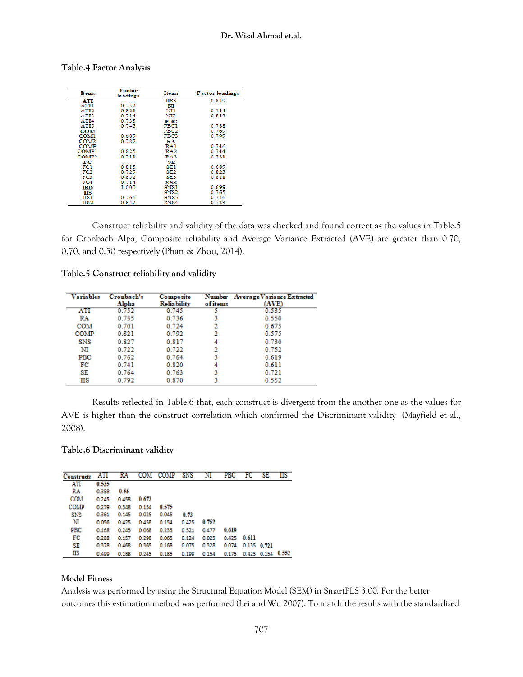| Items             | Factor<br>loadings | Items            | <b>Factor</b> loadings |
|-------------------|--------------------|------------------|------------------------|
| ATI               |                    | IIS3             | 0.819                  |
| ATI1              | 0.752              | NI               |                        |
| AT12              | 0.821              | NП               | 0.744                  |
| AT <sub>13</sub>  | 0.714              | NI2              | 0.843                  |
| ATI4              | 0.735              | <b>PBC</b>       |                        |
| ATI5              | 0.745              | PBC1             | 0.788                  |
| <b>COM</b>        |                    | PBC2             | 0.769                  |
| COM1              | 0.689              | PBC3             | 0.799                  |
| COM <sub>2</sub>  | 0.782              | RA               |                        |
| <b>COMP</b>       |                    | RA1              | 0.746                  |
| <b>COMP1</b>      | 0.825              | RA2              | 0.744                  |
| COMP <sub>2</sub> | 0.711              | RA3              | 0.731                  |
| FС                |                    | SE.              |                        |
| FC1               | 0.815              | SE 1             | 0.689                  |
| FC2               | 0.729              | SE <sub>2</sub>  | 0.823                  |
| FC3               | 0.852              | SE3              | 0.811                  |
| FC4               | 0.714              | <b>SNS</b>       |                        |
| IBD               | 1.000              | SNS1             | 0.699                  |
| пs                |                    | SNS <sub>2</sub> | 0.765                  |
| IIS 1             | 0.766              | SNS3             | 0.716                  |
| <b>IIS2</b>       | 0.842              | SN <sub>S4</sub> | 0.733                  |

## **Table.4 Factor Analysis**

Construct reliability and validity of the data was checked and found correct as the values in Table.5 for Cronbach Alpa, Composite reliability and Average Variance Extracted (AVE) are greater than 0.70, 0.70, and 0.50 respectively (Phan & Zhou, 2014).

**Table.5 Construct reliability and validity**

| <b>Variables</b> | Cronbach's | Composite          |          | Number Average Variance Extracted |
|------------------|------------|--------------------|----------|-----------------------------------|
|                  | Alpha      | <b>Reliability</b> | of items | (AVE)                             |
| ATI              | 0.752      | 0.745              |          | 0.535                             |
| RA               | 0.735      | 0.736              | 3        | 0.550                             |
| <b>COM</b>       | 0.701      | 0.724              |          | 0.673                             |
| COMP             | 0.821      | 0.792              |          | 0.575                             |
| SNS              | 0.827      | 0.817              | 4        | 0.730                             |
| NI               | 0.722      | 0.722              |          | 0.752                             |
| <b>PBC</b>       | 0.762      | 0.764              |          | 0.619                             |
| FC               | 0.741      | 0.820              | 4        | 0.611                             |
| SE               | 0.764      | 0.763              |          | 0.721                             |
| ПS               | 0.792      | 0.870              |          | 0.552                             |

Results reflected in Table.6 that, each construct is divergent from the another one as the values for AVE is higher than the construct correlation which confirmed the Discriminant validity (Mayfield et al., 2008).

## **Table.6 Discriminant validity**

| <b>Constructs</b> | ATI   | RA    | COM   | <b>COMP</b> | SNS   | NI    | PBC   | FC    | SE                      | ΠS |
|-------------------|-------|-------|-------|-------------|-------|-------|-------|-------|-------------------------|----|
| ATI               | 0.535 |       |       |             |       |       |       |       |                         |    |
| RA                | 0.358 | 0.55  |       |             |       |       |       |       |                         |    |
| COM               | 0.245 | 0.458 | 0.673 |             |       |       |       |       |                         |    |
| COMP              | 0.279 | 0.348 | 0.154 | 0.575       |       |       |       |       |                         |    |
| SNS               | 0.361 | 0.145 | 0.025 | 0.045       | 0.73  |       |       |       |                         |    |
| ΝΙ                | 0.056 | 0.425 | 0.458 | 0.154       | 0.425 | 0.752 |       |       |                         |    |
| PBC               | 0.168 | 0.245 | 0.068 | 0.235       | 0.521 | 0.477 | 0.619 |       |                         |    |
| FC                | 0.288 | 0.157 | 0.298 | 0.065       | 0.124 | 0.025 | 0.425 | 0.611 |                         |    |
| SE                | 0.378 | 0.468 | 0.365 | 0.168       | 0.075 | 0.328 | 0.074 |       | $0.135$ $0.721$         |    |
| ПS                | 0.499 | 0.188 | 0.245 | 0.185       | 0.199 | 0.154 | 0.175 |       | $0.425$ $0.154$ $0.552$ |    |

## **Model Fitness**

Analysis was performed by using the Structural Equation Model (SEM) in SmartPLS 3.00. For the better outcomes this estimation method was performed (Lei and Wu 2007). To match the results with the standardized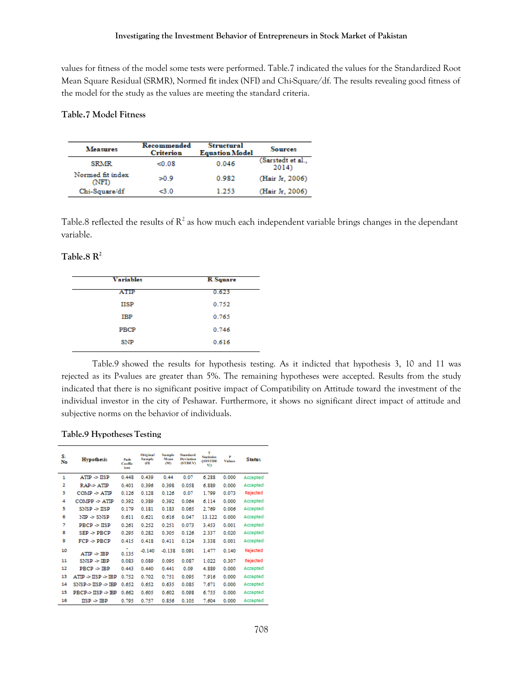values for fitness of the model some tests were performed. Table.7 indicated the values for the Standardized Root Mean Square Residual (SRMR), Normed fit index (NFI) and Chi-Square/df. The results revealing good fitness of the model for the study as the values are meeting the standard criteria.

## **Table.7 Model Fitness**

| <b>Measures</b>           | Recommended<br><b>Criterion</b> | <b>Structural</b><br><b>Equation Model</b> | <b>Sources</b>             |
|---------------------------|---------------------------------|--------------------------------------------|----------------------------|
| <b>SRMR</b>               | < 0.08                          | 0.046                                      | (Sarstedt et al.,<br>2014) |
| Normed fit index<br>(NFI) | 50.9                            | 0.982                                      | (Hair Jr. 2006)            |
| Chi-Square/df             | ⊲.0                             | 1.253                                      | (Hair Jr. 2006)            |

Table.8 reflected the results of  $R^2$  as how much each independent variable brings changes in the dependant variable.

# **Table.8 R<sup>2</sup>**

| <b>Variables</b> | <b>R</b> Square |
|------------------|-----------------|
| ATIP             | 0.623           |
| <b>HSP</b>       | 0.752           |
| IBP              | 0.765           |
| PBCP             | 0.746           |
| SNP              | 0.616           |
|                  |                 |

Table.9 showed the results for hypothesis testing. As it indicted that hypothesis 3, 10 and 11 was rejected as its P-values are greater than 5%. The remaining hypotheses were accepted. Results from the study indicated that there is no significant positive impact of Compatibility on Attitude toward the investment of the individual investor in the city of Peshawar. Furthermore, it shows no significant direct impact of attitude and subjective norms on the behavior of individuals.

#### **Table.9 Hypotheses Testing**

| S.<br>No       | <b>Hypothesis</b>                 | Path<br><b>Coeffic</b><br>ient | <b>Original</b><br><b>Sample</b><br>αm | <b>Sample</b><br>Mean<br>ΩÐ | Standard<br>Deviation<br><b>(STDEV)</b> | T<br>Statistics<br>dOSTDE<br>VD. | P<br><b>Values</b> | <b>Status</b> |
|----------------|-----------------------------------|--------------------------------|----------------------------------------|-----------------------------|-----------------------------------------|----------------------------------|--------------------|---------------|
| 1              | ATIP > IISP                       | 0.448                          | 0.439                                  | 0.44                        | 0.07                                    | 6.288                            | 0.000              | Accepted      |
| $\overline{2}$ | RAP-> ATIP                        | 0.401                          | 0.396                                  | 0.398                       | 0.058                                   | 6.889                            | 0.000              | Accepted      |
| з              | $COMP \geq ATIP$                  | 0.126                          | 0.128                                  | 0.126                       | 0.07                                    | 1.799                            | 0.073              | Rejected      |
| 4              | $COMPP \geq ATP$                  | 0.392                          | 0.389                                  | 0.392                       | 0.064                                   | 6.114                            | 0.000              | Accepted      |
| 5              | $SNSP \Rightarrow IISP$           | 0.179                          | 0.181                                  | 0.183                       | 0.065                                   | 2.769                            | 0.006              | Accepted      |
| 6              | $NIP \gg SNSP$                    | 0.611                          | 0.621                                  | 0.616                       | 0.047                                   | 13.122                           | 0.000              | Accepted      |
| 7              | $PBCP \geq IISP$                  | 0.261                          | 0.252                                  | 0.251                       | 0.073                                   | 3.453                            | 0.001              | Accepted      |
| 8              | $SEP \Rightarrow PBCP$            | 0.295                          | 0.282                                  | 0.305                       | 0.126                                   | 2.337                            | 0.020              | Accepted      |
| 9              | $FCP \geq PBCP$                   | 0.415                          | 0.418                                  | 0.411                       | 0.124                                   | 3.338                            | 0.001              | Accepted      |
| 10             | $ATIP \geq IBP$                   | 0.135                          | $-0.140$                               | $-0.138$                    | 0.091                                   | 1.477                            | 0.140              | Rejected      |
| 11             | $SNSP \Rightarrow IBP$            | 0.083                          | 0.089                                  | 0.095                       | 0.087                                   | 1.022                            | 0.307              | Rejected      |
| 12             | $\texttt{PBCP} \geq \texttt{IBP}$ | 0.443                          | 0.440                                  | 0.441                       | 0.09                                    | 4.889                            | 0.000              | Accepted      |
| 13             | ATIP > IISP > IRP                 | 0.752                          | 0.702                                  | 0.751                       | 0.095                                   | 7.916                            | 0.000              | Accepted      |
| 14             | SNSP->IISP ->IBP                  | 0.652                          | 0.652                                  | 0.635                       | 0.085                                   | 7.671                            | 0.000              | Accepted      |
| 15             | PBCP->IISP->IBP                   | 0.662                          | 0.605                                  | 0.602                       | 0.098                                   | 6.755                            | 0.000              | Accepted      |
| 16             | $_{\rm IISP}$ $\rm IBP$           | 0.795                          | 0.757                                  | 0.856                       | 0.105                                   | 7.604                            | 0.000              | Accepted      |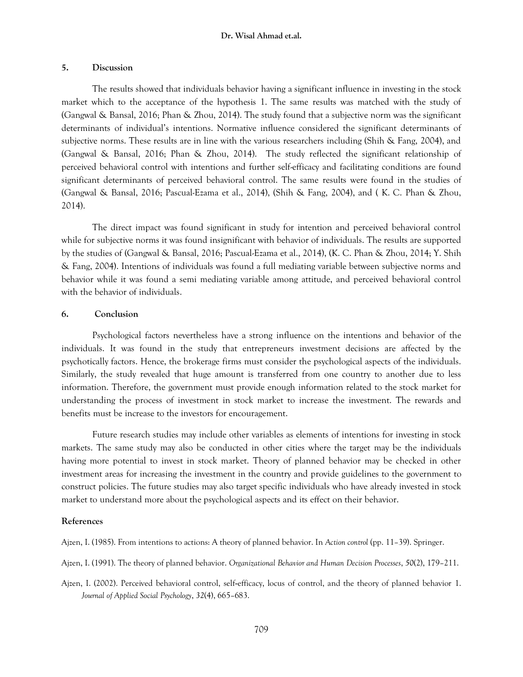#### **Dr. Wisal Ahmad et.al.**

#### **5. Discussion**

The results showed that individuals behavior having a significant influence in investing in the stock market which to the acceptance of the hypothesis 1. The same results was matched with the study of (Gangwal & Bansal, 2016; Phan & Zhou, 2014). The study found that a subjective norm was the significant determinants of individual's intentions. Normative influence considered the significant determinants of subjective norms. These results are in line with the various researchers including (Shih & Fang, 2004), and (Gangwal & Bansal, 2016; Phan & Zhou, 2014). The study reflected the significant relationship of perceived behavioral control with intentions and further self-efficacy and facilitating conditions are found significant determinants of perceived behavioral control. The same results were found in the studies of (Gangwal & Bansal, 2016; Pascual-Ezama et al., 2014), (Shih & Fang, 2004), and ( K. C. Phan & Zhou, 2014).

The direct impact was found significant in study for intention and perceived behavioral control while for subjective norms it was found insignificant with behavior of individuals. The results are supported by the studies of (Gangwal & Bansal, 2016; Pascual-Ezama et al., 2014), (K. C. Phan & Zhou, 2014; Y. Shih & Fang, 2004). Intentions of individuals was found a full mediating variable between subjective norms and behavior while it was found a semi mediating variable among attitude, and perceived behavioral control with the behavior of individuals.

#### **6. Conclusion**

Psychological factors nevertheless have a strong influence on the intentions and behavior of the individuals. It was found in the study that entrepreneurs investment decisions are affected by the psychotically factors. Hence, the brokerage firms must consider the psychological aspects of the individuals. Similarly, the study revealed that huge amount is transferred from one country to another due to less information. Therefore, the government must provide enough information related to the stock market for understanding the process of investment in stock market to increase the investment. The rewards and benefits must be increase to the investors for encouragement.

Future research studies may include other variables as elements of intentions for investing in stock markets. The same study may also be conducted in other cities where the target may be the individuals having more potential to invest in stock market. Theory of planned behavior may be checked in other investment areas for increasing the investment in the country and provide guidelines to the government to construct policies. The future studies may also target specific individuals who have already invested in stock market to understand more about the psychological aspects and its effect on their behavior.

## **References**

Ajzen, I. (1985). From intentions to actions: A theory of planned behavior. In *Action control* (pp. 11–39). Springer.

- Ajzen, I. (1991). The theory of planned behavior. *Organizational Behavior and Human Decision Processes*, *50*(2), 179–211.
- Ajzen, I. (2002). Perceived behavioral control, self‐efficacy, locus of control, and the theory of planned behavior 1. *Journal of Applied Social Psychology*, *32*(4), 665–683.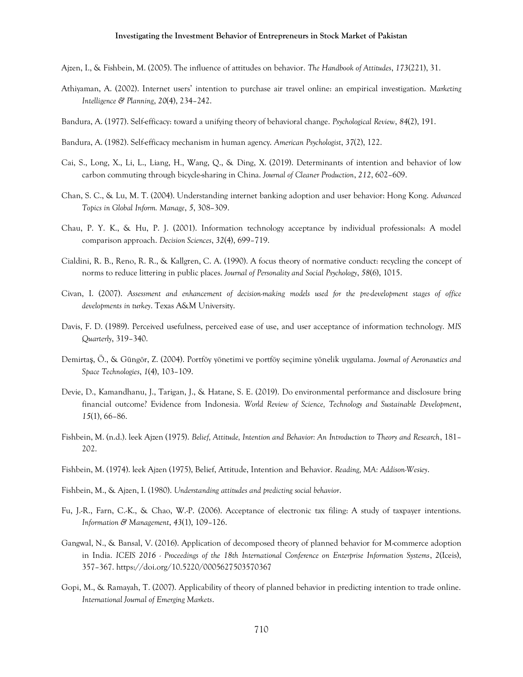#### **Investigating the Investment Behavior of Entrepreneurs in Stock Market of Pakistan**

- Ajzen, I., & Fishbein, M. (2005). The influence of attitudes on behavior. *The Handbook of Attitudes*, *173*(221), 31.
- Athiyaman, A. (2002). Internet users' intention to purchase air travel online: an empirical investigation. *Marketing Intelligence & Planning*, *20*(4), 234–242.
- Bandura, A. (1977). Self-efficacy: toward a unifying theory of behavioral change. *Psychological Review*, *84*(2), 191.
- Bandura, A. (1982). Self-efficacy mechanism in human agency. *American Psychologist*, *37*(2), 122.
- Cai, S., Long, X., Li, L., Liang, H., Wang, Q., & Ding, X. (2019). Determinants of intention and behavior of low carbon commuting through bicycle-sharing in China. *Journal of Cleaner Production*, *212*, 602–609.
- Chan, S. C., & Lu, M. T. (2004). Understanding internet banking adoption and user behavior: Hong Kong. *Advanced Topics in Global Inform. Manage*, *5*, 308–309.
- Chau, P. Y. K., & Hu, P. J. (2001). Information technology acceptance by individual professionals: A model comparison approach. *Decision Sciences*, *32*(4), 699–719.
- Cialdini, R. B., Reno, R. R., & Kallgren, C. A. (1990). A focus theory of normative conduct: recycling the concept of norms to reduce littering in public places. *Journal of Personality and Social Psychology*, *58*(6), 1015.
- Civan, I. (2007). *Assessment and enhancement of decision-making models used for the pre-development stages of office developments in turkey*. Texas A&M University.
- Davis, F. D. (1989). Perceived usefulness, perceived ease of use, and user acceptance of information technology. *MIS Quarterly*, 319–340.
- Demirtaş, Ö., & Güngör, Z. (2004). Portföy yönetimi ve portföy seçimine yönelik uygulama. *Journal of Aeronautics and Space Technologies*, *1*(4), 103–109.
- Devie, D., Kamandhanu, J., Tarigan, J., & Hatane, S. E. (2019). Do environmental performance and disclosure bring financial outcome? Evidence from Indonesia. *World Review of Science, Technology and Sustainable Development*, *15*(1), 66–86.
- Fishbein, M. (n.d.). leek Ajzen (1975). *Belief, Attitude, Intention and Behavior: An Introduction to Theory and Research*, 181– 202.
- Fishbein, M. (1974). leek Ajzen (1975), Belief, Attitude, Intention and Behavior. *Reading, MA: Addison-Wesiey*.
- Fishbein, M., & Ajzen, I. (1980). *Understanding attitudes and predicting social behavior*.
- Fu, J.-R., Farn, C.-K., & Chao, W.-P. (2006). Acceptance of electronic tax filing: A study of taxpayer intentions. *Information & Management*, *43*(1), 109–126.
- Gangwal, N., & Bansal, V. (2016). Application of decomposed theory of planned behavior for M-commerce adoption in India. *ICEIS 2016 - Proceedings of the 18th International Conference on Enterprise Information Systems*, *2*(Iceis), 357–367. https://doi.org/10.5220/0005627503570367
- Gopi, M., & Ramayah, T. (2007). Applicability of theory of planned behavior in predicting intention to trade online. *International Journal of Emerging Markets*.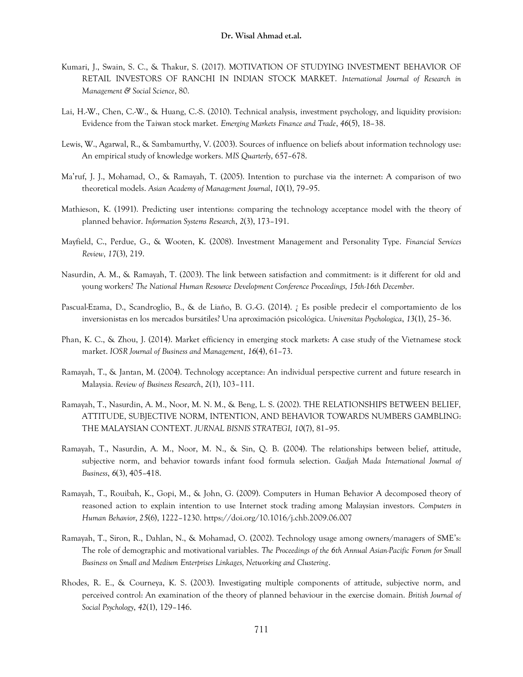- Kumari, J., Swain, S. C., & Thakur, S. (2017). MOTIVATION OF STUDYING INVESTMENT BEHAVIOR OF RETAIL INVESTORS OF RANCHI IN INDIAN STOCK MARKET. *International Journal of Research in Management & Social Science*, 80.
- Lai, H.-W., Chen, C.-W., & Huang, C.-S. (2010). Technical analysis, investment psychology, and liquidity provision: Evidence from the Taiwan stock market. *Emerging Markets Finance and Trade*, *46*(5), 18–38.
- Lewis, W., Agarwal, R., & Sambamurthy, V. (2003). Sources of influence on beliefs about information technology use: An empirical study of knowledge workers. *MIS Quarterly*, 657–678.
- Ma'ruf, J. J., Mohamad, O., & Ramayah, T. (2005). Intention to purchase via the internet: A comparison of two theoretical models. *Asian Academy of Management Journal*, *10*(1), 79–95.
- Mathieson, K. (1991). Predicting user intentions: comparing the technology acceptance model with the theory of planned behavior. *Information Systems Research*, *2*(3), 173–191.
- Mayfield, C., Perdue, G., & Wooten, K. (2008). Investment Management and Personality Type. *Financial Services Review*, *17*(3), 219.
- Nasurdin, A. M., & Ramayah, T. (2003). The link between satisfaction and commitment: is it different for old and young workers? *The National Human Resource Development Conference Proceedings, 15th-16th December*.
- Pascual-Ezama, D., Scandroglio, B., & de Liaño, B. G.-G. (2014). ¿ Es posible predecir el comportamiento de los inversionistas en los mercados bursátiles? Una aproximación psicológica. *Universitas Psychologica*, *13*(1), 25–36.
- Phan, K. C., & Zhou, J. (2014). Market efficiency in emerging stock markets: A case study of the Vietnamese stock market. *IOSR Journal of Business and Management*, *16*(4), 61–73.
- Ramayah, T., & Jantan, M. (2004). Technology acceptance: An individual perspective current and future research in Malaysia. *Review of Business Research*, *2*(1), 103–111.
- Ramayah, T., Nasurdin, A. M., Noor, M. N. M., & Beng, L. S. (2002). THE RELATIONSHIPS BETWEEN BELIEF, ATTITUDE, SUBJECTIVE NORM, INTENTION, AND BEHAVIOR TOWARDS NUMBERS GAMBLING: THE MALAYSIAN CONTEXT. *JURNAL BISNIS STRATEGI*, *10*(7), 81–95.
- Ramayah, T., Nasurdin, A. M., Noor, M. N., & Sin, Q. B. (2004). The relationships between belief, attitude, subjective norm, and behavior towards infant food formula selection. *Gadjah Mada International Journal of Business*, *6*(3), 405–418.
- Ramayah, T., Rouibah, K., Gopi, M., & John, G. (2009). Computers in Human Behavior A decomposed theory of reasoned action to explain intention to use Internet stock trading among Malaysian investors. *Computers in Human Behavior*, *25*(6), 1222–1230. https://doi.org/10.1016/j.chb.2009.06.007
- Ramayah, T., Siron, R., Dahlan, N., & Mohamad, O. (2002). Technology usage among owners/managers of SME's: The role of demographic and motivational variables. *The Proceedings of the 6th Annual Asian-Pacific Forum for Small Business on Small and Medium Enterprises Linkages, Networking and Clustering*.
- Rhodes, R. E., & Courneya, K. S. (2003). Investigating multiple components of attitude, subjective norm, and perceived control: An examination of the theory of planned behaviour in the exercise domain. *British Journal of Social Psychology*, *42*(1), 129–146.